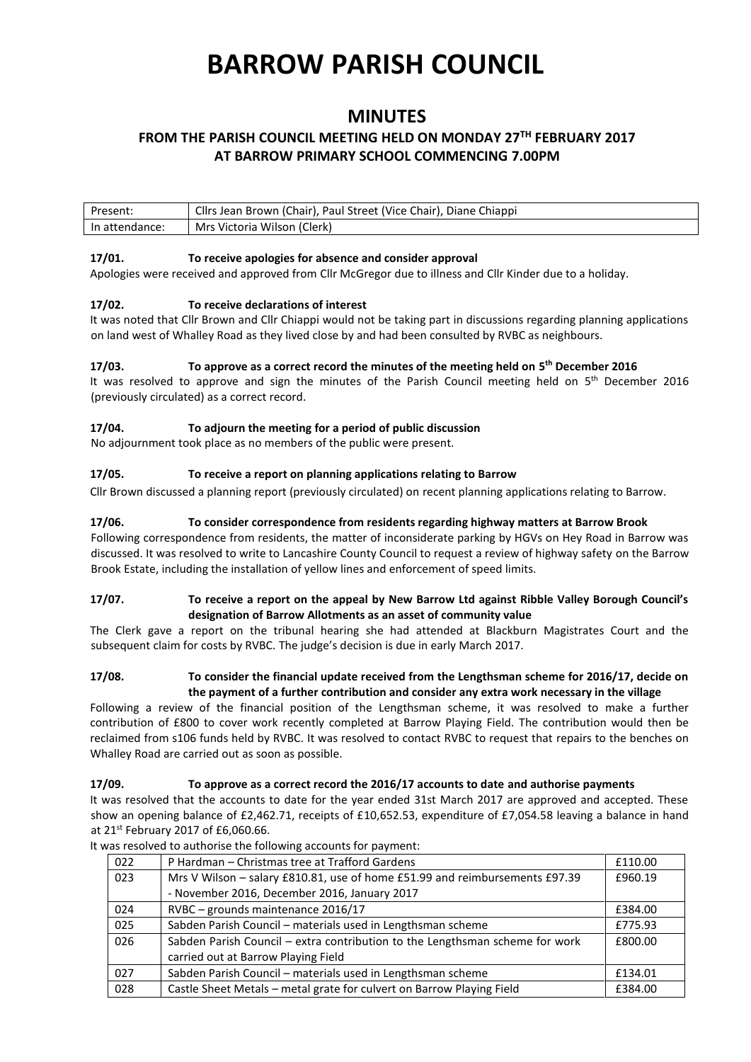# **BARROW PARISH COUNCIL**

# **MINUTES**

# **FROM THE PARISH COUNCIL MEETING HELD ON MONDAY 27TH FEBRUARY 2017 AT BARROW PRIMARY SCHOOL COMMENCING 7.00PM**

| Present:       | Cllrs Jean Brown (Chair), Paul Street (Vice Chair), Diane Chiappi |
|----------------|-------------------------------------------------------------------|
| In attendance: | Mrs Victoria Wilson (Clerk)                                       |

#### **17/01. To receive apologies for absence and consider approval**

Apologies were received and approved from Cllr McGregor due to illness and Cllr Kinder due to a holiday.

# **17/02. To receive declarations of interest**

It was noted that Cllr Brown and Cllr Chiappi would not be taking part in discussions regarding planning applications on land west of Whalley Road as they lived close by and had been consulted by RVBC as neighbours.

# **17/03. To approve as a correct record the minutes of the meeting held on 5 th December 2016**

It was resolved to approve and sign the minutes of the Parish Council meeting held on 5<sup>th</sup> December 2016 (previously circulated) as a correct record.

# **17/04. To adjourn the meeting for a period of public discussion**

No adjournment took place as no members of the public were present.

# **17/05. To receive a report on planning applications relating to Barrow**

Cllr Brown discussed a planning report (previously circulated) on recent planning applications relating to Barrow.

# **17/06. To consider correspondence from residents regarding highway matters at Barrow Brook**

Following correspondence from residents, the matter of inconsiderate parking by HGVs on Hey Road in Barrow was discussed. It was resolved to write to Lancashire County Council to request a review of highway safety on the Barrow Brook Estate, including the installation of yellow lines and enforcement of speed limits.

#### **17/07. To receive a report on the appeal by New Barrow Ltd against Ribble Valley Borough Council's designation of Barrow Allotments as an asset of community value**

The Clerk gave a report on the tribunal hearing she had attended at Blackburn Magistrates Court and the subsequent claim for costs by RVBC. The judge's decision is due in early March 2017.

# **17/08. To consider the financial update received from the Lengthsman scheme for 2016/17, decide on the payment of a further contribution and consider any extra work necessary in the village**

Following a review of the financial position of the Lengthsman scheme, it was resolved to make a further contribution of £800 to cover work recently completed at Barrow Playing Field. The contribution would then be reclaimed from s106 funds held by RVBC. It was resolved to contact RVBC to request that repairs to the benches on Whalley Road are carried out as soon as possible.

# **17/09. To approve as a correct record the 2016/17 accounts to date and authorise payments**

It was resolved that the accounts to date for the year ended 31st March 2017 are approved and accepted. These show an opening balance of £2,462.71, receipts of £10,652.53, expenditure of £7,054.58 leaving a balance in hand at 21<sup>st</sup> February 2017 of £6,060.66.

| 022 | P Hardman – Christmas tree at Trafford Gardens                               | £110.00 |
|-----|------------------------------------------------------------------------------|---------|
| 023 | Mrs V Wilson - salary £810.81, use of home £51.99 and reimbursements £97.39  | £960.19 |
|     | - November 2016, December 2016, January 2017                                 |         |
| 024 | RVBC - grounds maintenance 2016/17                                           | £384.00 |
| 025 | Sabden Parish Council - materials used in Lengthsman scheme                  | £775.93 |
| 026 | Sabden Parish Council - extra contribution to the Lengthsman scheme for work | £800.00 |
|     | carried out at Barrow Playing Field                                          |         |
| 027 | Sabden Parish Council - materials used in Lengthsman scheme                  | £134.01 |
| 028 | Castle Sheet Metals – metal grate for culvert on Barrow Playing Field        | £384.00 |

It was resolved to authorise the following accounts for payment: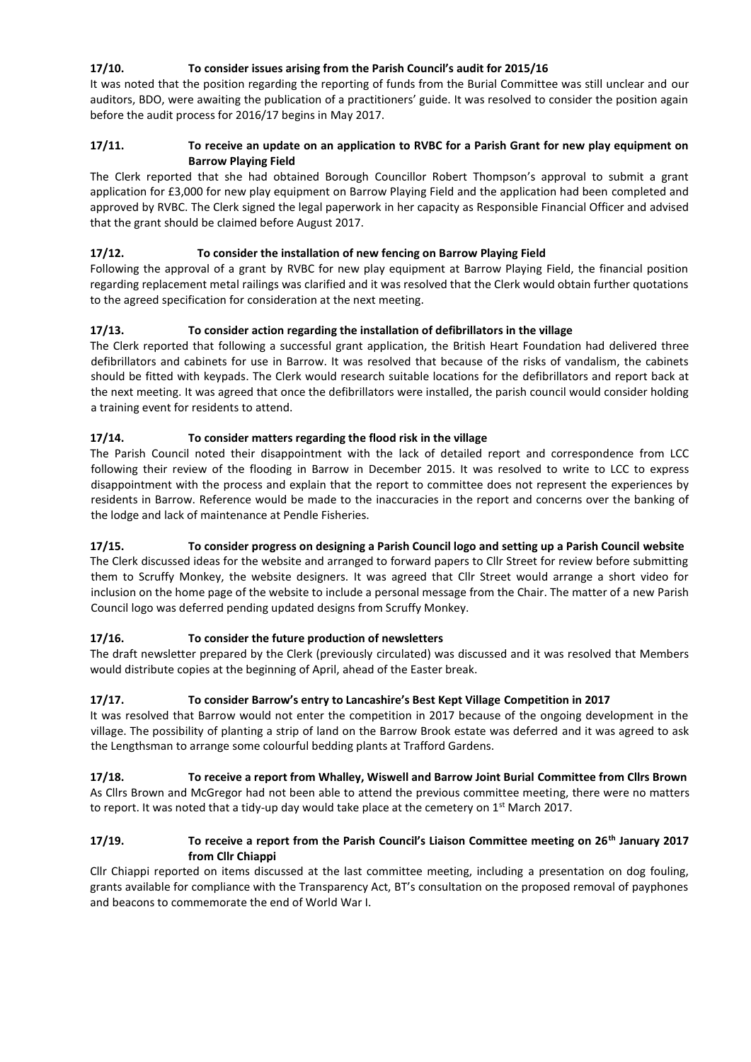# **17/10. To consider issues arising from the Parish Council's audit for 2015/16**

It was noted that the position regarding the reporting of funds from the Burial Committee was still unclear and our auditors, BDO, were awaiting the publication of a practitioners' guide. It was resolved to consider the position again before the audit process for 2016/17 begins in May 2017.

# **17/11. To receive an update on an application to RVBC for a Parish Grant for new play equipment on Barrow Playing Field**

The Clerk reported that she had obtained Borough Councillor Robert Thompson's approval to submit a grant application for £3,000 for new play equipment on Barrow Playing Field and the application had been completed and approved by RVBC. The Clerk signed the legal paperwork in her capacity as Responsible Financial Officer and advised that the grant should be claimed before August 2017.

# **17/12. To consider the installation of new fencing on Barrow Playing Field**

Following the approval of a grant by RVBC for new play equipment at Barrow Playing Field, the financial position regarding replacement metal railings was clarified and it was resolved that the Clerk would obtain further quotations to the agreed specification for consideration at the next meeting.

# **17/13. To consider action regarding the installation of defibrillators in the village**

The Clerk reported that following a successful grant application, the British Heart Foundation had delivered three defibrillators and cabinets for use in Barrow. It was resolved that because of the risks of vandalism, the cabinets should be fitted with keypads. The Clerk would research suitable locations for the defibrillators and report back at the next meeting. It was agreed that once the defibrillators were installed, the parish council would consider holding a training event for residents to attend.

# **17/14. To consider matters regarding the flood risk in the village**

The Parish Council noted their disappointment with the lack of detailed report and correspondence from LCC following their review of the flooding in Barrow in December 2015. It was resolved to write to LCC to express disappointment with the process and explain that the report to committee does not represent the experiences by residents in Barrow. Reference would be made to the inaccuracies in the report and concerns over the banking of the lodge and lack of maintenance at Pendle Fisheries.

# **17/15. To consider progress on designing a Parish Council logo and setting up a Parish Council website**

The Clerk discussed ideas for the website and arranged to forward papers to Cllr Street for review before submitting them to Scruffy Monkey, the website designers. It was agreed that Cllr Street would arrange a short video for inclusion on the home page of the website to include a personal message from the Chair. The matter of a new Parish Council logo was deferred pending updated designs from Scruffy Monkey.

# **17/16. To consider the future production of newsletters**

The draft newsletter prepared by the Clerk (previously circulated) was discussed and it was resolved that Members would distribute copies at the beginning of April, ahead of the Easter break.

# **17/17. To consider Barrow's entry to Lancashire's Best Kept Village Competition in 2017**

It was resolved that Barrow would not enter the competition in 2017 because of the ongoing development in the village. The possibility of planting a strip of land on the Barrow Brook estate was deferred and it was agreed to ask the Lengthsman to arrange some colourful bedding plants at Trafford Gardens.

#### **17/18. To receive a report from Whalley, Wiswell and Barrow Joint Burial Committee from Cllrs Brown** As Cllrs Brown and McGregor had not been able to attend the previous committee meeting, there were no matters to report. It was noted that a tidy-up day would take place at the cemetery on 1<sup>st</sup> March 2017.

# **17/19. To receive a report from the Parish Council's Liaison Committee meeting on 26th January 2017 from Cllr Chiappi**

Cllr Chiappi reported on items discussed at the last committee meeting, including a presentation on dog fouling, grants available for compliance with the Transparency Act, BT's consultation on the proposed removal of payphones and beacons to commemorate the end of World War I.